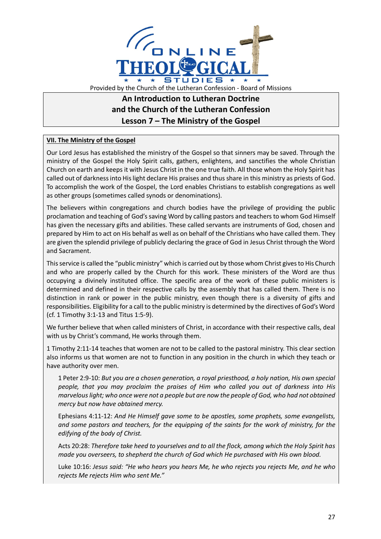

## **An Introduction to Lutheran Doctrine and the Church of the Lutheran Confession Lesson 7 – The Ministry of the Gospel**

## **VII. The Ministry of the Gospel**

Our Lord Jesus has established the ministry of the Gospel so that sinners may be saved. Through the ministry of the Gospel the Holy Spirit calls, gathers, enlightens, and sanctifies the whole Christian Church on earth and keeps it with Jesus Christ in the one true faith. All those whom the Holy Spirit has called out of darkness into His light declare His praises and thus share in this ministry as priests of God. To accomplish the work of the Gospel, the Lord enables Christians to establish congregations as well as other groups (sometimes called synods or denominations).

The believers within congregations and church bodies have the privilege of providing the public proclamation and teaching of God's saving Word by calling pastors and teachers to whom God Himself has given the necessary gifts and abilities. These called servants are instruments of God, chosen and prepared by Him to act on His behalf as well as on behalf of the Christians who have called them. They are given the splendid privilege of publicly declaring the grace of God in Jesus Christ through the Word and Sacrament.

This service is called the "public ministry" which is carried out by those whom Christ gives to His Church and who are properly called by the Church for this work. These ministers of the Word are thus occupying a divinely instituted office. The specific area of the work of these public ministers is determined and defined in their respective calls by the assembly that has called them. There is no distinction in rank or power in the public ministry, even though there is a diversity of gifts and responsibilities. Eligibility for a call to the public ministry is determined by the directives of God's Word (cf. 1 Timothy 3:1-13 and Titus 1:5-9).

We further believe that when called ministers of Christ, in accordance with their respective calls, deal with us by Christ's command, He works through them.

1 Timothy 2:11-14 teaches that women are not to be called to the pastoral ministry. This clear section also informs us that women are not to function in any position in the church in which they teach or have authority over men.

1 Peter 2:9-10: *But you are a chosen generation, a royal priesthood, a holy nation, His own special people, that you may proclaim the praises of Him who called you out of darkness into His marvelous light; who once were not a people but are now the people of God, who had not obtained mercy but now have obtained mercy.*

Ephesians 4:11-12: *And He Himself gave some to be apostles, some prophets, some evangelists, and some pastors and teachers, for the equipping of the saints for the work of ministry, for the edifying of the body of Christ.*

Acts 20:28: *Therefore take heed to yourselves and to all the flock, among which the Holy Spirit has made you overseers, to shepherd the church of God which He purchased with His own blood.*

Luke 10:16: *Jesus said: "He who hears you hears Me, he who rejects you rejects Me, and he who rejects Me rejects Him who sent Me."*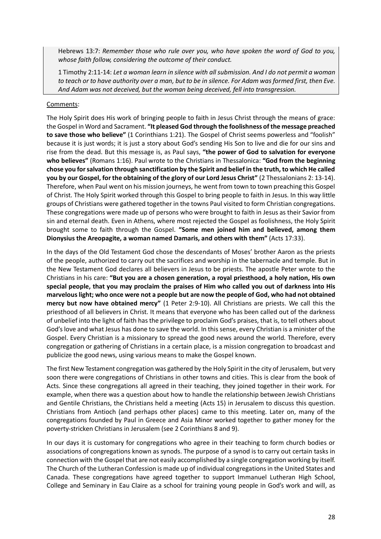Hebrews 13:7: *Remember those who rule over you, who have spoken the word of God to you, whose faith follow, considering the outcome of their conduct.*

1 Timothy 2:11-14: *Let a woman learn in silence with all submission. And I do not permit a woman to teach or to have authority over a man, but to be in silence. For Adam was formed first, then Eve. And Adam was not deceived, but the woman being deceived, fell into transgression.*

## Comments:

The Holy Spirit does His work of bringing people to faith in Jesus Christ through the means of grace: the Gospel in Word and Sacrament. **"It pleased God through the foolishness of the message preached to save those who believe"** (1 Corinthians 1:21). The Gospel of Christ seems powerless and "foolish" because it is just words; it is just a story about God's sending His Son to live and die for our sins and rise from the dead. But this message is, as Paul says, **"the power of God to salvation for everyone who believes"** (Romans 1:16). Paul wrote to the Christians in Thessalonica: **"God from the beginning chose you for salvation through sanctification by the Spirit and belief in the truth, to which He called you by our Gospel, for the obtaining of the glory of our Lord Jesus Christ"** (2 Thessalonians 2: 13-14). Therefore, when Paul went on his mission journeys, he went from town to town preaching this Gospel of Christ. The Holy Spirit worked through this Gospel to bring people to faith in Jesus. In this way little groups of Christians were gathered together in the towns Paul visited to form Christian congregations. These congregations were made up of persons who were brought to faith in Jesus as their Savior from sin and eternal death. Even in Athens, where most rejected the Gospel as foolishness, the Holy Spirit brought some to faith through the Gospel. **"Some men joined him and believed, among them Dionysius the Areopagite, a woman named Damaris, and others with them"** (Acts 17:33).

In the days of the Old Testament God chose the descendants of Moses' brother Aaron as the priests of the people, authorized to carry out the sacrifices and worship in the tabernacle and temple. But in the New Testament God declares all believers in Jesus to be priests. The apostle Peter wrote to the Christians in his care: **"But you are a chosen generation, a royal priesthood, a holy nation, His own special people, that you may proclaim the praises of Him who called you out of darkness into His marvelous light; who once were not a people but are now the people of God, who had not obtained mercy but now have obtained mercy"** (1 Peter 2:9-10). All Christians are priests. We call this the priesthood of all believers in Christ. It means that everyone who has been called out of the darkness of unbelief into the light of faith has the privilege to proclaim God's praises, that is, to tell others about God's love and what Jesus has done to save the world. In this sense, every Christian is a minister of the Gospel. Every Christian is a missionary to spread the good news around the world. Therefore, every congregation or gathering of Christians in a certain place, is a mission congregation to broadcast and publicize the good news, using various means to make the Gospel known.

The first New Testament congregation was gathered by the Holy Spirit in the city of Jerusalem, but very soon there were congregations of Christians in other towns and cities. This is clear from the book of Acts. Since these congregations all agreed in their teaching, they joined together in their work. For example, when there was a question about how to handle the relationship between Jewish Christians and Gentile Christians, the Christians held a meeting (Acts 15) in Jerusalem to discuss this question. Christians from Antioch (and perhaps other places) came to this meeting. Later on, many of the congregations founded by Paul in Greece and Asia Minor worked together to gather money for the poverty-stricken Christians in Jerusalem (see 2 Corinthians 8 and 9).

In our days it is customary for congregations who agree in their teaching to form church bodies or associations of congregations known as synods. The purpose of a synod is to carry out certain tasks in connection with the Gospel that are not easily accomplished by a single congregation working by itself. The Church of the Lutheran Confession is made up of individual congregations in the United States and Canada. These congregations have agreed together to support Immanuel Lutheran High School, College and Seminary in Eau Claire as a school for training young people in God's work and will, as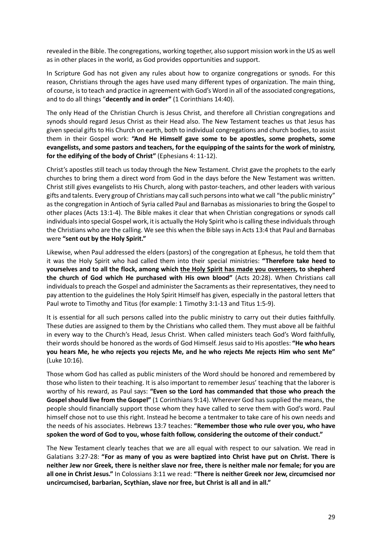revealed in the Bible. The congregations, working together, also support mission work in the US as well as in other places in the world, as God provides opportunities and support.

In Scripture God has not given any rules about how to organize congregations or synods. For this reason, Christians through the ages have used many different types of organization. The main thing, of course, is to teach and practice in agreement with God's Word in all of the associated congregations, and to do all things "**decently and in order"** (1 Corinthians 14:40).

The only Head of the Christian Church is Jesus Christ, and therefore all Christian congregations and synods should regard Jesus Christ as their Head also. The New Testament teaches us that Jesus has given special gifts to His Church on earth, both to individual congregations and church bodies, to assist them in their Gospel work: **"And He Himself gave some to be apostles, some prophets, some evangelists, and some pastors and teachers, for the equipping of the saints for the work of ministry, for the edifying of the body of Christ"** (Ephesians 4: 11-12).

Christ's apostles still teach us today through the New Testament. Christ gave the prophets to the early churches to bring them a direct word from God in the days before the New Testament was written. Christ still gives evangelists to His Church, along with pastor-teachers, and other leaders with various gifts and talents. Every group of Christians may call such persons into what we call "the public ministry" as the congregation in Antioch of Syria called Paul and Barnabas as missionaries to bring the Gospel to other places (Acts 13:1-4). The Bible makes it clear that when Christian congregations or synods call individuals into special Gospel work, it is actually the Holy Spirit who is calling these individuals through the Christians who are the calling. We see this when the Bible says in Acts 13:4 that Paul and Barnabas were **"sent out by the Holy Spirit."**

Likewise, when Paul addressed the elders (pastors) of the congregation at Ephesus, he told them that it was the Holy Spirit who had called them into their special ministries: **"Therefore take heed to yourselves and to all the flock, among which the Holy Spirit has made you overseers, to shepherd the church of God which He purchased with His own blood"** (Acts 20:28). When Christians call individuals to preach the Gospel and administer the Sacraments as their representatives, they need to pay attention to the guidelines the Holy Spirit Himself has given, especially in the pastoral letters that Paul wrote to Timothy and Titus (for example: 1 Timothy 3:1-13 and Titus 1:5-9).

It is essential for all such persons called into the public ministry to carry out their duties faithfully. These duties are assigned to them by the Christians who called them. They must above all be faithful in every way to the Church's Head, Jesus Christ. When called ministers teach God's Word faithfully, their words should be honored as the words of God Himself. Jesus said to His apostles: **"He who hears you hears Me, he who rejects you rejects Me, and he who rejects Me rejects Him who sent Me"** (Luke 10:16).

Those whom God has called as public ministers of the Word should be honored and remembered by those who listen to their teaching. It is also important to remember Jesus' teaching that the laborer is worthy of his reward, as Paul says: **"Even so the Lord has commanded that those who preach the Gospel should live from the Gospel"** (1 Corinthians 9:14). Wherever God has supplied the means, the people should financially support those whom they have called to serve them with God's word. Paul himself chose not to use this right. Instead he become a tentmaker to take care of his own needs and the needs of his associates. Hebrews 13:7 teaches: **"Remember those who rule over you, who have spoken the word of God to you, whose faith follow, considering the outcome of their conduct."**

The New Testament clearly teaches that we are all equal with respect to our salvation. We read in Galatians 3:27-28: **"For as many of you as were baptized into Christ have put on Christ. There is neither Jew nor Greek, there is neither slave nor free, there is neither male nor female; for you are all one in Christ Jesus."** In Colossians 3:11 we read: **"There is neither Greek nor Jew, circumcised nor uncircumcised, barbarian, Scythian, slave nor free, but Christ is all and in all."**